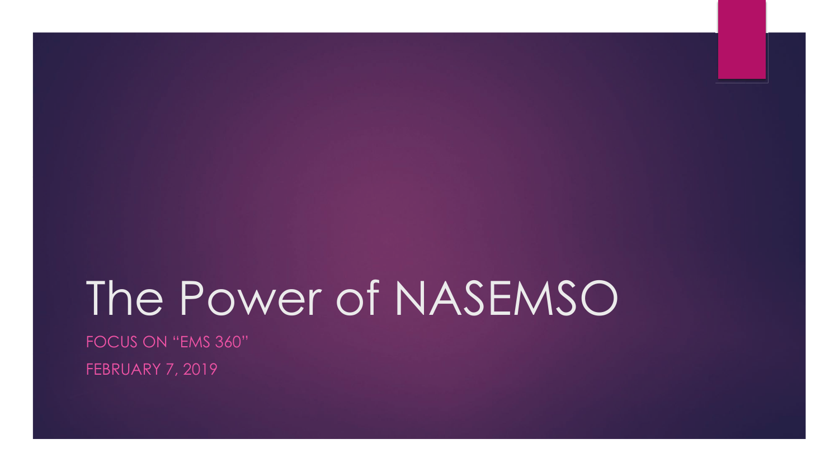# The Power of NASEMSO

FOCUS ON "EMS 360"

FEBRUARY 7, 2019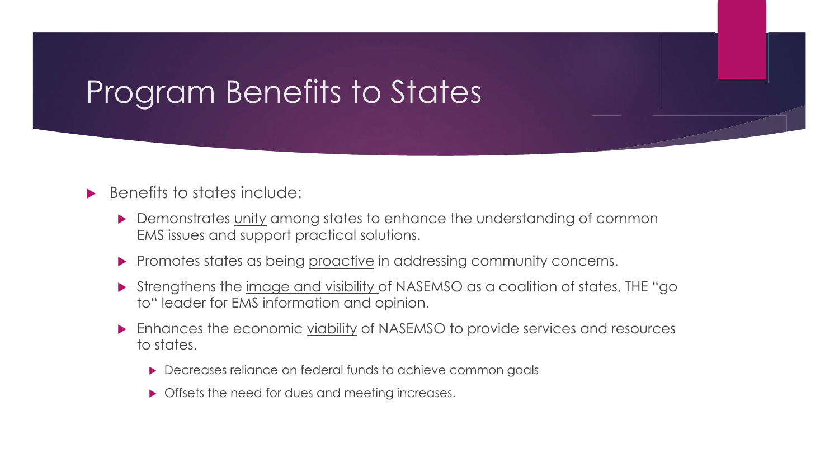## Program Benefits to States

#### $\blacktriangleright$  Benefits to states include:

- **EXECUTE:** Demonstrates unity among states to enhance the understanding of common EMS issues and support practical solutions.
- Promotes states as being proactive in addressing community concerns.
- ! Strengthens the image and visibility of NASEMSO as a coalition of states, THE "go to" leader for EMS information and opinion.
- ! Enhances the economic viability of NASEMSO to provide services and resources to states.
	- **Decreases reliance on federal funds to achieve common goals**
	- Offsets the need for dues and meeting increases.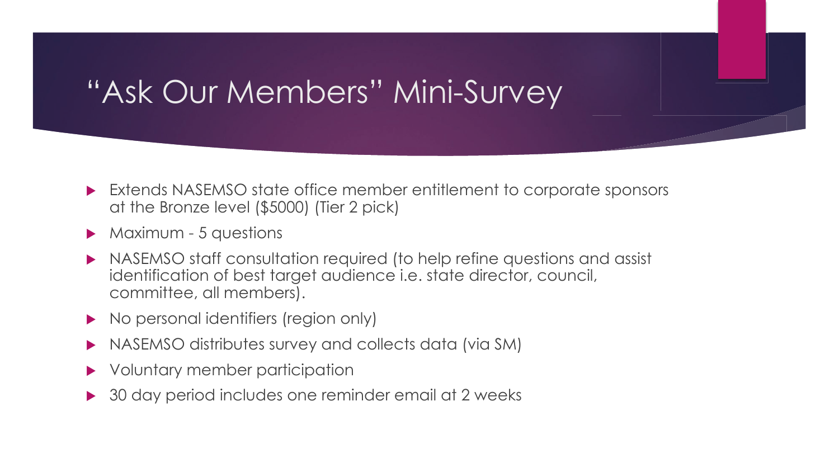### "Ask Our Members" Mini-Survey

- ! Extends NASEMSO state office member entitlement to corporate sponsors at the Bronze level (\$5000) (Tier 2 pick)
- $\triangleright$  Maximum 5 questions
- ! NASEMSO staff consultation required (to help refine questions and assist identification of best target audience i.e. state director, council, committee, all members).
- No personal identifiers (region only)
- ! NASEMSO distributes survey and collects data (via SM)
- Voluntary member participation
- ▶ 30 day period includes one reminder email at 2 weeks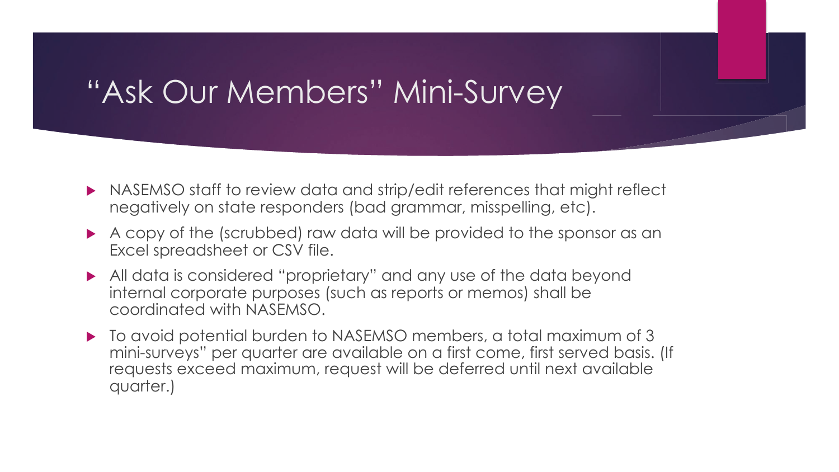#### "Ask Our Members" Mini-Survey

- ! NASEMSO staff to review data and strip/edit references that might reflect negatively on state responders (bad grammar, misspelling, etc).
- A copy of the (scrubbed) raw data will be provided to the sponsor as an Excel spreadsheet or CSV file.
- ! All data is considered "proprietary" and any use of the data beyond internal corporate purposes (such as reports or memos) shall be coordinated with NASEMSO.
- $\blacktriangleright$  To avoid potential burden to NASEMSO members, a total maximum of 3 mini-surveys" per quarter are available on a first come, first served basis. (If requests exceed maximum, request will be deferred until next available quarter.)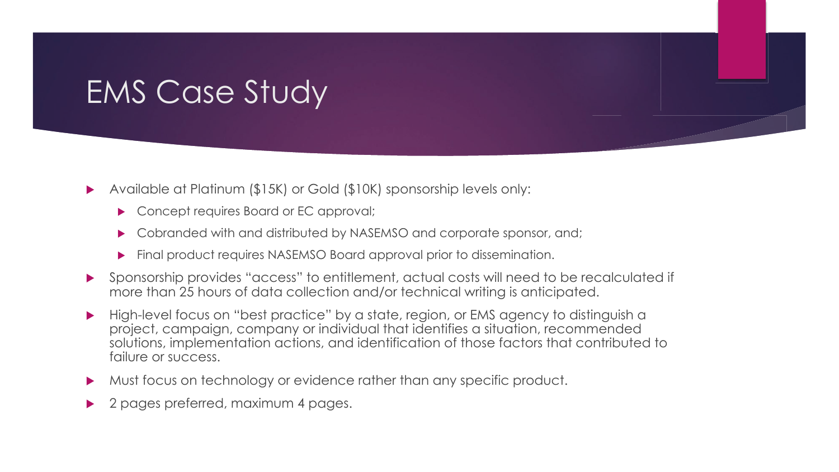### EMS Case Study

- ! Available at Platinum (\$15K) or Gold (\$10K) sponsorship levels only:
	- ▶ Concept requires Board or EC approval;
	- ! Cobranded with and distributed by NASEMSO and corporate sponsor, and;
	- **Final product requires NASEMSO Board approval prior to dissemination.**
- ! Sponsorship provides "access" to entitlement, actual costs will need to be recalculated if more than 25 hours of data collection and/or technical writing is anticipated.
- High-level focus on "best practice" by a state, region, or EMS agency to distinguish a project, campaign, company or individual that identifies a situation, recommended solutions, implementation actions, and identification of those factors that contributed to failure or success.
- ! Must focus on technology or evidence rather than any specific product.
- 2 pages preferred, maximum 4 pages.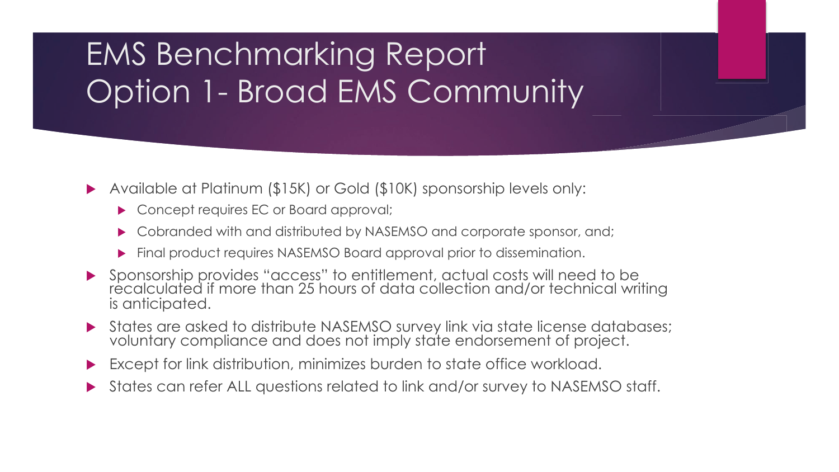# EMS Benchmarking Report Option 1- Broad EMS Community

- ! Available at Platinum (\$15K) or Gold (\$10K) sponsorship levels only:
	- ▶ Concept requires EC or Board approval;
	- ! Cobranded with and distributed by NASEMSO and corporate sponsor, and;
	- ! Final product requires NASEMSO Board approval prior to dissemination.
- ! Sponsorship provides "access" to entitlement, actual costs will need to be recalculated if more than 25 hours of data collection and/or technical writing is anticipated.
- ! States are asked to distribute NASEMSO survey link via state license databases; voluntary compliance and does not imply state endorsement of project.
- Except for link distribution, minimizes burden to state office workload.
- ! States can refer ALL questions related to link and/or survey to NASEMSO staff.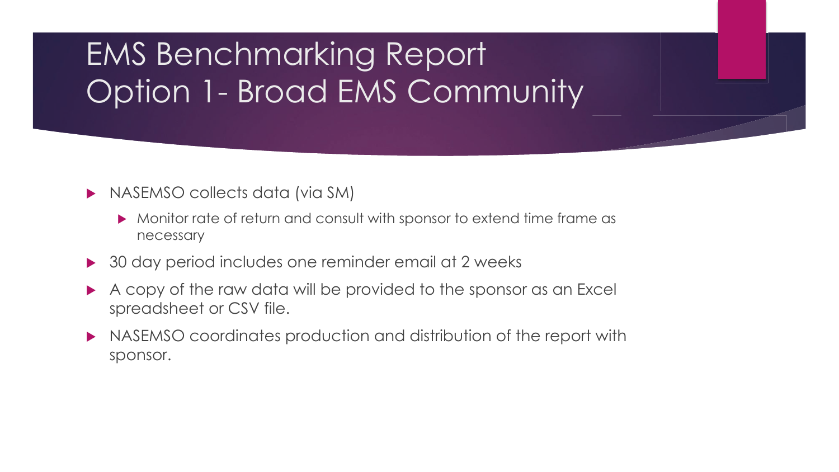# EMS Benchmarking Report Option 1- Broad EMS Community

#### **INASEMSO collects data (via SM)**

- Monitor rate of return and consult with sponsor to extend time frame as necessary
- ▶ 30 day period includes one reminder email at 2 weeks
- A copy of the raw data will be provided to the sponsor as an Excel spreadsheet or CSV file.
- NASEMSO coordinates production and distribution of the report with sponsor.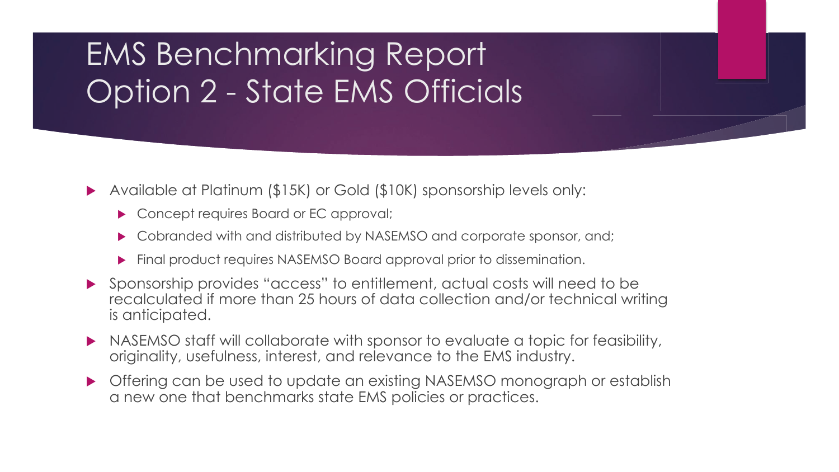# EMS Benchmarking Report Option 2 - State EMS Officials

- ! Available at Platinum (\$15K) or Gold (\$10K) sponsorship levels only:
	- ▶ Concept requires Board or EC approval;
	- ! Cobranded with and distributed by NASEMSO and corporate sponsor, and;
	- ! Final product requires NASEMSO Board approval prior to dissemination.
- ! Sponsorship provides "access" to entitlement, actual costs will need to be recalculated if more than 25 hours of data collection and/or technical writing is anticipated.
- NASEMSO staff will collaborate with sponsor to evaluate a topic for feasibility, originality, usefulness, interest, and relevance to the EMS industry.
- **Offering can be used to update an existing NASEMSO monograph or establish** a new one that benchmarks state EMS policies or practices.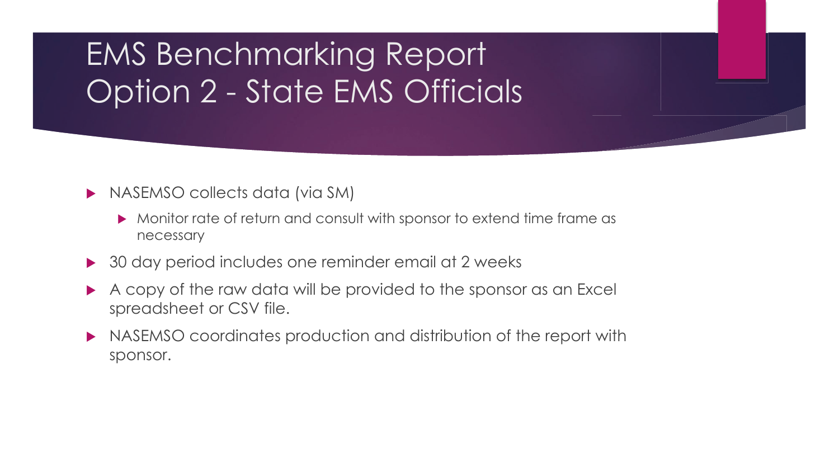# EMS Benchmarking Report Option 2 - State EMS Officials

- **INASEMSO collects data (via SM)** 
	- Monitor rate of return and consult with sponsor to extend time frame as necessary
- ▶ 30 day period includes one reminder email at 2 weeks
- A copy of the raw data will be provided to the sponsor as an Excel spreadsheet or CSV file.
- NASEMSO coordinates production and distribution of the report with sponsor.